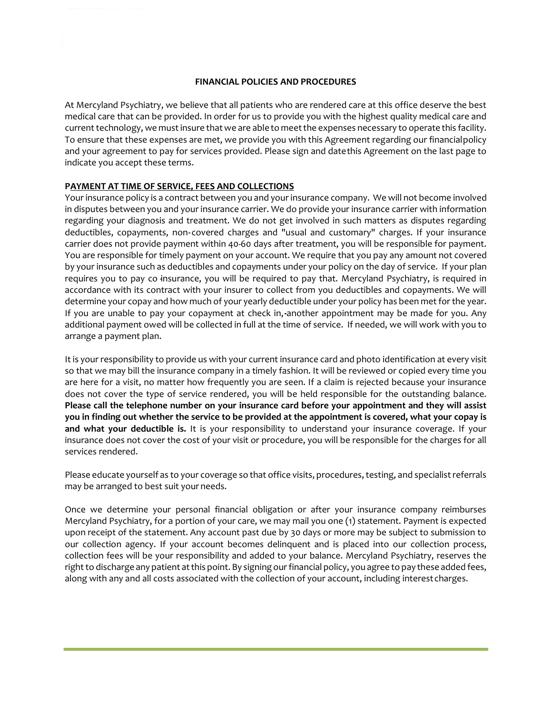#### **FINANCIAL POLICIES AND PROCEDURES**

At Mercyland Psychiatry, we believe that all patients who are rendered care at this office deserve the best medical care that can be provided. In order for us to provide you with the highest quality medical care and current technology, we must insure that we are able to meet the expenses necessary to operate this facility. To ensure that these expenses are met, we provide you with this Agreement regarding our financial policy and your agreement to pay for services provided. Please sign and date this Agreement on the last page to indicate you accept these terms.

#### **PAYMENT AT TIME OF SERVICE, FEES AND COLLECTIONS**

Your insurance policy is a contract between you and your insurance company. We will not become involved in disputes between you and your insurance carrier. We do provide your insurance carrier with information regarding your diagnosis and treatment. We do not get involved in such matters as disputes regarding deductibles, copayments, non-covered charges and "usual and customary" charges. If your insurance carrier does not provide payment within 40 60 days after treatment, you will be responsible for payment. You are responsible for timely payment on your account. We require that you pay any amount not covered by your insurance such as deductibles and copayments under your policy on the day of service. If your plan requires you to pay co insurance, you will be required to pay that. Mercyland Psychiatry, is required in accordance with its contract with your insurer to collect from you deductibles and copayments. We will determine your copay and how much of your yearly deductible under your policy has been met for the year. If you are unable to pay your copayment at check in, another appointment may be made for you. Any additional payment owed will be collected in full at the time of service. If needed, we will work with you to arrange a payment plan.

It is your responsibility to provide us with your current insurance card and photo identification at every visit so that we may bill the insurance company in a timely fashion. It will be reviewed or copied every time you are here for a visit, no matter how frequently you are seen. If a claim is rejected because your insurance does not cover the type of service rendered, you will be held responsible for the outstanding balance. **Please call the telephone number on your insurance card before your appointment and they will assist you in finding out whether the service to be provided at the appointment is covered, what your copay is and what your deductible is.** It is your responsibility to understand your insurance coverage. If your insurance does not cover the cost of your visit or procedure, you will be responsible for the charges for all services rendered.

Please educate yourself as to your coverage so that office visits, procedures, testing, and specialist referrals may be arranged to best suit your needs.

Once we determine your personal financial obligation or after your insurance company reimburses Mercyland Psychiatry, for a portion of your care, we may mail you one (1) statement. Payment is expected upon receipt of the statement. Any account past due by 30 days or more may be subject to submission to our collection agency. If your account becomes delinquent and is placed into our collection process, collection fees will be your responsibility and added to your balance. Mercyland Psychiatry, reserves the right to discharge any patient at this point. By signing our financial policy, you agree to pay these added fees, along with any and all costs associated with the collection of your account, including interest charges.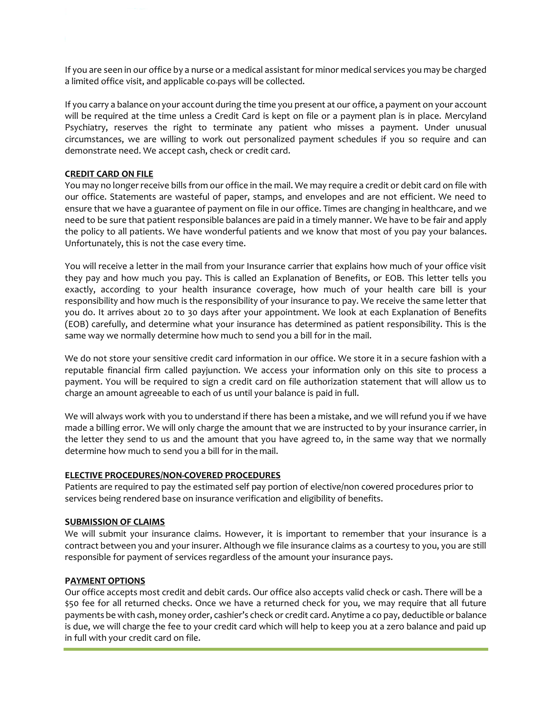If you are seen in our office by a nurse or a medical assistant for minor medical services you may be charged a limited office visit, and applicable co pays will be collected.

If you carry a balance on your account during the time you present at our office, a payment on your account will be required at the time unless a Credit Card is kept on file or a payment plan is in place. Mercyland Psychiatry, reserves the right to terminate any patient who misses a payment. Under unusual circumstances, we are willing to work out personalized payment schedules if you so require and can demonstrate need. We accept cash, check or credit card.

### **C REDIT CARD ON FILE**

You may no longer receive bills from our office in the mail. We may require a credit or debit card on file with our office. Statements are wasteful of paper, stamps, and envelopes and are not efficient. We need to ensure that we have a guarantee of payment on file in our office. Times are changing in healthcare, and we need to be sure that patient responsible balances are paid in a timely manner. We have to be fair and apply the policy to all patients. We have wonderful patients and we know that most of you pay your balances. Unfortunately, this is not the case every time.

You will receive a letter in the mail from your Insurance carrier that explains how much of your office visit they pay and how much you pay. This is called an Explanation of Benefits, or EOB. This letter tells you exactly, according to your health insurance coverage, how much of your health care bill is your responsibility and how much is the responsibility of your insurance to pay. We receive the same letter that you do. It arrives about 20 to 30 days after your appointment. We look at each Explanation of Benefits (EOB) carefully, and determine what your insurance has determined as patient responsibility. This is the same way we normally determine how much to send you a bill for in the mail.

We do not store your sensitive credit card information in our office. We store it in a secure fashion with a reputable financial firm called payjunction. We access your information only on this site to process a payment. You will be required to sign a credit card on file authorization statement that will allow us to charge an amount agreeable to each of us until your balance is paid in full.

We will always work with you to understand if there has been a mistake, and we will refund you if we have made a billing error. We will only charge the amount that we are instructed to by your insurance carrier, in the letter they send to us and the amount that you have agreed to, in the same way that we normally determine how much to send you a bill for in the mail.

# **E LECTIVE PROCEDURES/NON COVERED PROCEDURES**

Patients are required to pay the estimated self pay portion of elective/non covered procedures prior to services being rendered base on insurance verification and eligibility of benefits.

#### **S UBMISSION OF CLAIMS**

We will submit your insurance claims. However, it is important to remember that your insurance is a contract between you and your insurer. Although we file insurance claims as a courtesy to you, you are still responsible for payment of services regardless of the amount your insurance pays.

#### **PAYMENT OPTIONS**

Our office accepts most credit and debit cards. Our office also accepts valid check or cash. There will be a \$50 fee for all returned checks. Once we have a returned check for you, we may require that all future payments be with cash, money order, cashier's check or credit card. Anytime a co pay, deductible or balance is due, we will charge the fee to your credit card which will help to keep you at a zero balance and paid up in full with your credit card on file.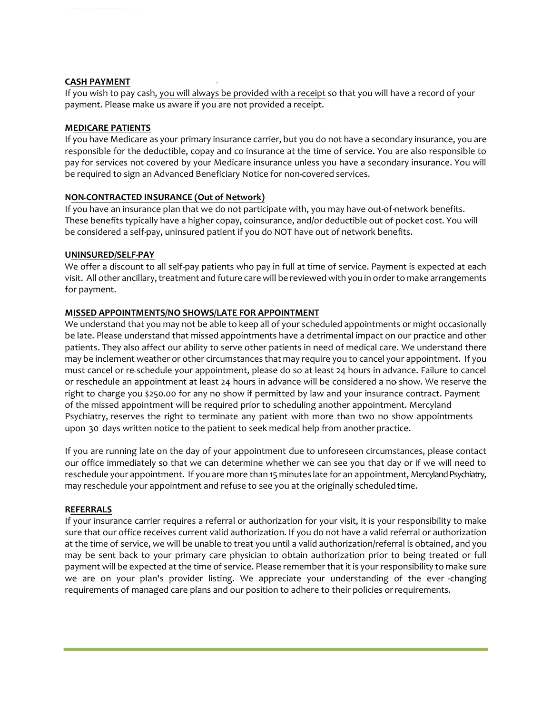# **CASH PAYMENT**

If you wish to pay cash, you will always be provided with a receipt so that you will have a record of your payment. Please make us aware if you are not provided a receipt.

#### **MEDICARE PATIENTS**

If you have Medicare as your primary insurance carrier, but you do not have a secondary insurance, you are responsible for the deductible, copay and co insurance at the time of service. You are also responsible to pay for services not covered by your Medicare insurance unless you have a secondary insurance. You will be required to sign an Advanced Beneficiary Notice for non covered services.

#### **NON CONTRACTED INSURANCE (Out of Network)**

If you have an insurance plan that we do not participate with, you may have out of network benefits. These benefits typically have a higher copay, coinsurance, and/or deductible out of pocket cost. You will be considered a self-pay, uninsured patient if you do NOT have out of network benefits.

#### **UNINSURED/SELF PAY**

We offer a discount to all self-pay patients who pay in full at time of service. Payment is expected at each visit. All other ancillary, treatment and future care will be reviewed with you in order to make arrangements for payment.

### **MISSED APPOINTMENTS/NO SHOWS/LATE FOR APPOINTMENT**

We understand that you may not be able to keep all of your scheduled appointments or might occasionally be late. Please understand that missed appointments have a detrimental impact on our practice and other patients. They also affect our ability to serve other patients in need of medical care. We understand there may be inclement weather or other circumstances that may require you to cancel your appointment. If you must cancel or re schedule your appointment, please do so at least 24 hours in advance. Failure to cancel or reschedule an appointment at least 24 hours in advance will be considered a no show. We reserve the right to charge you \$250.00 for any no show if permitted by law and your insurance contract. Payment of the missed appointment will be required prior to scheduling another appointment. Mercyland Psychiatry, reserves the right to terminate any patient with more than two no show appointments upon 30 days written notice to the patient to seek medical help from another practice.

If you are running late on the day of your appointment due to unforeseen circumstances, please contact our office immediately so that we can determine whether we can see you that day or if we will need to reschedule your appointment. If you are more than 15 minutes late for an appointment, Mercyland Psychiatry, may reschedule your appointment and refuse to see you at the originally scheduledtime.

#### **REFERRALS**

If your insurance carrier requires a referral or authorization for your visit, it is your responsibility to make sure that our office receives current valid authorization. If you do not have a valid referral or authorization at the time of service, we will be unable to treat you until a valid authorization/referral is obtained, and you may be sent back to your primary care physician to obtain authorization prior to being treated or full payment will be expected at the time of service. Please remember that it is your responsibility to make sure we are on your plan's provider listing. We appreciate your understanding of the ever changing requirements of managed care plans and our position to adhere to their policies or requirements.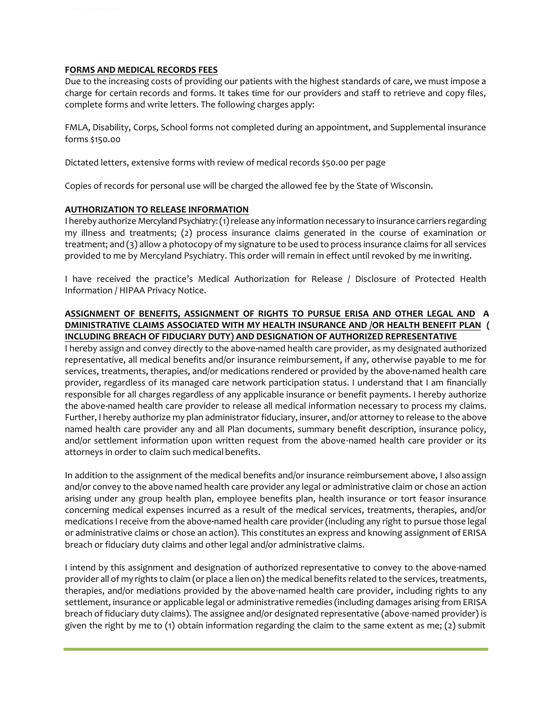# **FORMS AND MEDICAL RECORDS FEES**

Due to the increasing costs of providing our patients with the highest standards of care, we must impose a charge for certain records and forms. It takes time for our providers and staff to retrieve and copy files, complete forms and write letters. The following charges apply:

FMLA, Disability, Corps, School forms not completed during an appointment, and Supplemental insurance forms \$150.00

Dictated letters, extensive forms with review of medical records \$50.00 per page

Copies of records for personal use will be charged the allowed fee by the State of Wisconsin.

### **AUTHORIZATION TO RELEASE INFORMATION**

I hereby authorize Mercyland Psychiatry: (1) release any information necessary to insurance carriers regarding my illness and treatments; (2) process insurance claims generated in the course of examination or treatment; and (3) allow a photocopy of my signature to be used to process insurance claims for all services provided to me by Mercyland Psychiatry. This order will remain in effect until revoked by me in writing.

I have received the practice's Medical Authorization for Release / Disclosure of Protected Health Information / HIPAA Privacy Notice.

# **ASSIGNMENT OF BENEFITS, ASSIGNMENT OF RIGHTS TO PURSUE ERISA AND OTHER LEGAL AND A DMINISTRATIVE CLAIMS ASSOCIATED WITH MY HEALTH INSURANCE AND /OR HEALTH BENEFIT PLAN ( INCLUDING BREACH OF FIDUCIARY DUTY) AND DESIGNATION OF AUTHORIZED REPRESENTATIVE**

I hereby assign and convey directly to the above named health care provider, as my designated authorized representative, all medical benefits and/or insurance reimbursement, if any, otherwise payable to me for services, treatments, therapies, and/or medications rendered or provided by the above-named health care provider, regardless of its managed care network participation status. I understand that I am financially responsible for all charges regardless of any applicable insurance or benefit payments. I hereby authorize the above named health care provider to release all medical information necessary to process my claims. Further, I hereby authorize my plan administrator fiduciary, insurer, and/or attorney to release to the above named health care provider any and all Plan documents, summary benefit description, insurance policy, and/or settlement information upon written request from the above named health care provider or its attorneys in order to claim such medical benefits.

In addition to the assignment of the medical benefits and/or insurance reimbursement above, I also assign and/or convey to the above named health care provider any legal or administrative claim or chose an action arising under any group health plan, employee benefits plan, health insurance or tort feasor insurance concerning medical expenses incurred as a result of the medical services, treatments, therapies, and/or medications I receive from the above named health care provider (including any right to pursue those legal or administrative claims or chose an action). This constitutes an express and knowing assignment of ERISA breach or fiduciary duty claims and other legal and/or administrative claims.

I intend by this assignment and designation of authorized representative to convey to the above named provider all of my rights to claim (or place a lien on) the medical benefits related to the services, treatments, therapies, and/or mediations provided by the above named health care provider, including rights to any settlement, insurance or applicable legal or administrative remedies (including damages arising from ERISA breach of fiduciary duty claims). The assignee and/or designated representative (above named provider) is given the right by me to (1) obtain information regarding the claim to the same extent as me; (2) submit